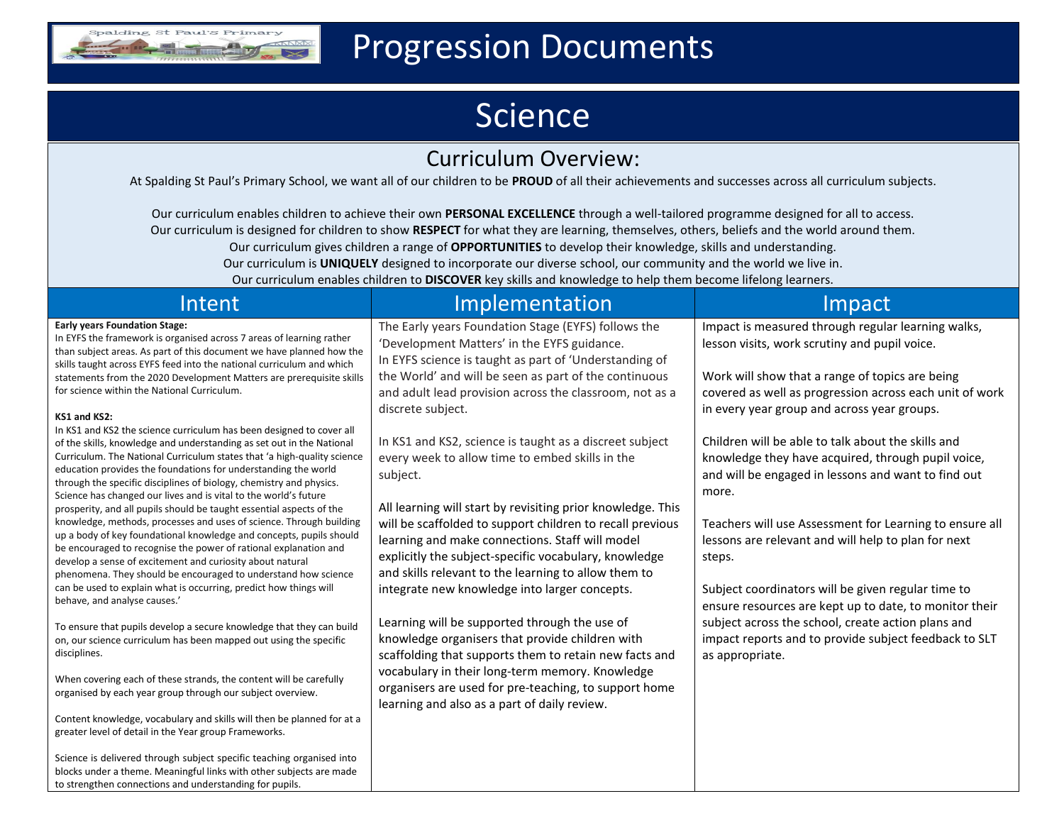

## Progression Documents

## Science

## Curriculum Overview:

At Spalding St Paul's Primary School, we want all of our children to be **PROUD** of all their achievements and successes across all curriculum subjects.

Our curriculum enables children to achieve their own **PERSONAL EXCELLENCE** through a well-tailored programme designed for all to access. Our curriculum is designed for children to show **RESPECT** for what they are learning, themselves, others, beliefs and the world around them. Our curriculum gives children a range of **OPPORTUNITIES** to develop their knowledge, skills and understanding. Our curriculum is **UNIQUELY** designed to incorporate our diverse school, our community and the world we live in. Our curriculum enables children to **DISCOVER** key skills and knowledge to help them become lifelong learners.

| Intent                                                                                                                                                                                                                                                                                                                                                                                                                                | Implementation                                                                                                                                                                                                                                                                               | Impact                                                                                                                                                                   |
|---------------------------------------------------------------------------------------------------------------------------------------------------------------------------------------------------------------------------------------------------------------------------------------------------------------------------------------------------------------------------------------------------------------------------------------|----------------------------------------------------------------------------------------------------------------------------------------------------------------------------------------------------------------------------------------------------------------------------------------------|--------------------------------------------------------------------------------------------------------------------------------------------------------------------------|
| <b>Early years Foundation Stage:</b><br>In EYFS the framework is organised across 7 areas of learning rather<br>than subject areas. As part of this document we have planned how the<br>skills taught across EYFS feed into the national curriculum and which                                                                                                                                                                         | The Early years Foundation Stage (EYFS) follows the<br>'Development Matters' in the EYFS guidance.<br>In EYFS science is taught as part of 'Understanding of                                                                                                                                 | Impact is measured through regular learning walks,<br>lesson visits, work scrutiny and pupil voice.                                                                      |
| statements from the 2020 Development Matters are prerequisite skills<br>for science within the National Curriculum.                                                                                                                                                                                                                                                                                                                   | the World' and will be seen as part of the continuous<br>and adult lead provision across the classroom, not as a                                                                                                                                                                             | Work will show that a range of topics are being<br>covered as well as progression across each unit of work                                                               |
| KS1 and KS2:                                                                                                                                                                                                                                                                                                                                                                                                                          | discrete subject.                                                                                                                                                                                                                                                                            | in every year group and across year groups.                                                                                                                              |
| In KS1 and KS2 the science curriculum has been designed to cover all<br>of the skills, knowledge and understanding as set out in the National<br>Curriculum. The National Curriculum states that 'a high-quality science<br>education provides the foundations for understanding the world<br>through the specific disciplines of biology, chemistry and physics.<br>Science has changed our lives and is vital to the world's future | In KS1 and KS2, science is taught as a discreet subject<br>every week to allow time to embed skills in the<br>subject.                                                                                                                                                                       | Children will be able to talk about the skills and<br>knowledge they have acquired, through pupil voice,<br>and will be engaged in lessons and want to find out<br>more. |
| prosperity, and all pupils should be taught essential aspects of the<br>knowledge, methods, processes and uses of science. Through building<br>up a body of key foundational knowledge and concepts, pupils should<br>be encouraged to recognise the power of rational explanation and<br>develop a sense of excitement and curiosity about natural<br>phenomena. They should be encouraged to understand how science                 | All learning will start by revisiting prior knowledge. This<br>will be scaffolded to support children to recall previous<br>learning and make connections. Staff will model<br>explicitly the subject-specific vocabulary, knowledge<br>and skills relevant to the learning to allow them to | Teachers will use Assessment for Learning to ensure all<br>lessons are relevant and will help to plan for next<br>steps.                                                 |
| can be used to explain what is occurring, predict how things will<br>behave, and analyse causes.'                                                                                                                                                                                                                                                                                                                                     | integrate new knowledge into larger concepts.                                                                                                                                                                                                                                                | Subject coordinators will be given regular time to<br>ensure resources are kept up to date, to monitor their                                                             |
| To ensure that pupils develop a secure knowledge that they can build<br>on, our science curriculum has been mapped out using the specific<br>disciplines.                                                                                                                                                                                                                                                                             | Learning will be supported through the use of<br>knowledge organisers that provide children with<br>scaffolding that supports them to retain new facts and                                                                                                                                   | subject across the school, create action plans and<br>impact reports and to provide subject feedback to SLT<br>as appropriate.                                           |
| When covering each of these strands, the content will be carefully<br>organised by each year group through our subject overview.                                                                                                                                                                                                                                                                                                      | vocabulary in their long-term memory. Knowledge<br>organisers are used for pre-teaching, to support home<br>learning and also as a part of daily review.                                                                                                                                     |                                                                                                                                                                          |
| Content knowledge, vocabulary and skills will then be planned for at a<br>greater level of detail in the Year group Frameworks.                                                                                                                                                                                                                                                                                                       |                                                                                                                                                                                                                                                                                              |                                                                                                                                                                          |
| Science is delivered through subject specific teaching organised into<br>blocks under a theme. Meaningful links with other subjects are made<br>to strengthen connections and understanding for pupils.                                                                                                                                                                                                                               |                                                                                                                                                                                                                                                                                              |                                                                                                                                                                          |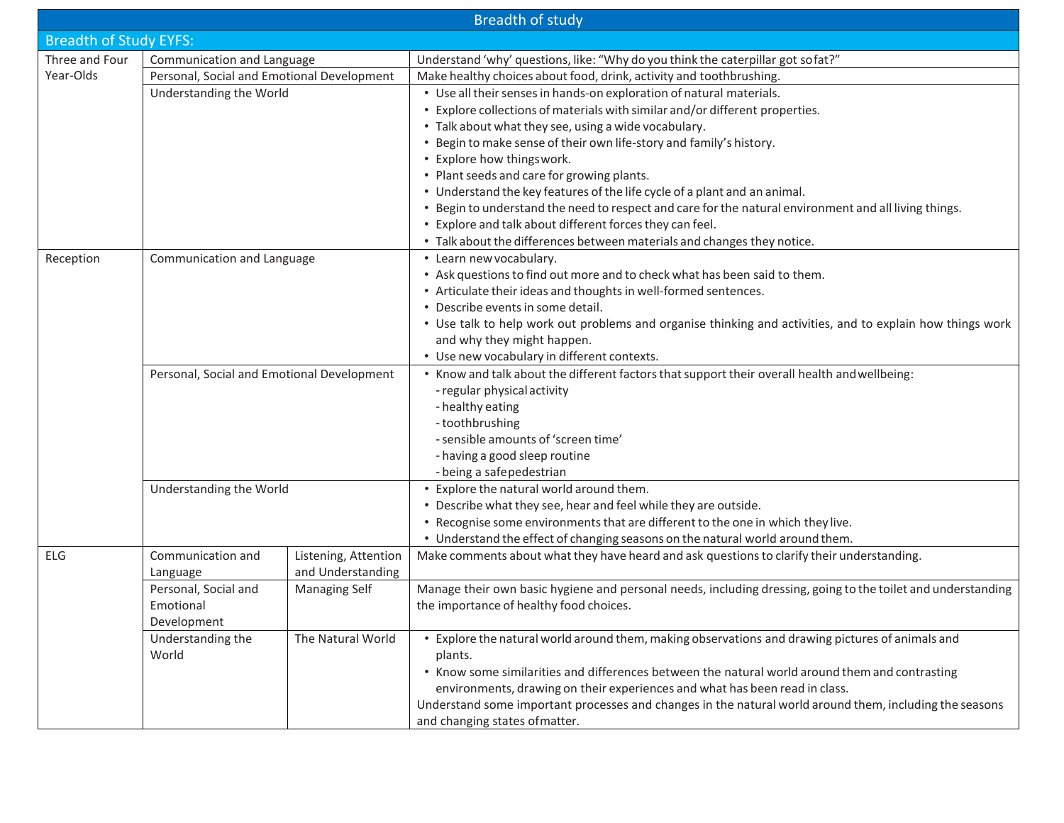|                                              | <b>Breadth of study</b>                    |                      |                                                                                                              |  |  |  |  |  |
|----------------------------------------------|--------------------------------------------|----------------------|--------------------------------------------------------------------------------------------------------------|--|--|--|--|--|
| <b>Breadth of Study EYFS:</b>                |                                            |                      |                                                                                                              |  |  |  |  |  |
| Three and Four<br>Communication and Language |                                            |                      | Understand 'why' questions, like: "Why do you think the caterpillar got sofat?"                              |  |  |  |  |  |
| Year-Olds                                    | Personal, Social and Emotional Development |                      | Make healthy choices about food, drink, activity and toothbrushing.                                          |  |  |  |  |  |
|                                              | Understanding the World                    |                      | • Use all their senses in hands-on exploration of natural materials.                                         |  |  |  |  |  |
|                                              |                                            |                      | • Explore collections of materials with similar and/or different properties.                                 |  |  |  |  |  |
|                                              |                                            |                      | • Talk about what they see, using a wide vocabulary.                                                         |  |  |  |  |  |
|                                              |                                            |                      | • Begin to make sense of their own life-story and family's history.                                          |  |  |  |  |  |
|                                              |                                            |                      | • Explore how thingswork.                                                                                    |  |  |  |  |  |
|                                              |                                            |                      | • Plant seeds and care for growing plants.                                                                   |  |  |  |  |  |
|                                              |                                            |                      | • Understand the key features of the life cycle of a plant and an animal.                                    |  |  |  |  |  |
|                                              |                                            |                      | • Begin to understand the need to respect and care for the natural environment and all living things.        |  |  |  |  |  |
|                                              |                                            |                      | • Explore and talk about different forces they can feel.                                                     |  |  |  |  |  |
|                                              |                                            |                      | • Talk about the differences between materials and changes they notice.                                      |  |  |  |  |  |
| Reception                                    | Communication and Language                 |                      | • Learn new vocabulary.                                                                                      |  |  |  |  |  |
|                                              |                                            |                      | • Ask questions to find out more and to check what has been said to them.                                    |  |  |  |  |  |
|                                              |                                            |                      | • Articulate their ideas and thoughts in well-formed sentences.                                              |  |  |  |  |  |
|                                              |                                            |                      | • Describe events in some detail.                                                                            |  |  |  |  |  |
|                                              |                                            |                      | • Use talk to help work out problems and organise thinking and activities, and to explain how things work    |  |  |  |  |  |
|                                              |                                            |                      | and why they might happen.                                                                                   |  |  |  |  |  |
|                                              |                                            |                      | • Use new vocabulary in different contexts.                                                                  |  |  |  |  |  |
|                                              | Personal, Social and Emotional Development |                      | • Know and talk about the different factors that support their overall health and wellbeing:                 |  |  |  |  |  |
|                                              |                                            |                      | - regular physical activity                                                                                  |  |  |  |  |  |
|                                              |                                            |                      | - healthy eating                                                                                             |  |  |  |  |  |
|                                              |                                            |                      | -toothbrushing                                                                                               |  |  |  |  |  |
|                                              |                                            |                      | - sensible amounts of 'screen time'                                                                          |  |  |  |  |  |
|                                              |                                            |                      | - having a good sleep routine                                                                                |  |  |  |  |  |
|                                              |                                            |                      | - being a safepedestrian                                                                                     |  |  |  |  |  |
|                                              | Understanding the World                    |                      | • Explore the natural world around them.                                                                     |  |  |  |  |  |
|                                              |                                            |                      | • Describe what they see, hear and feel while they are outside.                                              |  |  |  |  |  |
|                                              |                                            |                      | • Recognise some environments that are different to the one in which they live.                              |  |  |  |  |  |
|                                              |                                            |                      | • Understand the effect of changing seasons on the natural world around them.                                |  |  |  |  |  |
| ELG                                          | Communication and                          | Listening, Attention | Make comments about what they have heard and ask questions to clarify their understanding.                   |  |  |  |  |  |
|                                              | Language                                   | and Understanding    |                                                                                                              |  |  |  |  |  |
|                                              | Personal, Social and                       | <b>Managing Self</b> | Manage their own basic hygiene and personal needs, including dressing, going to the toilet and understanding |  |  |  |  |  |
|                                              | Emotional                                  |                      | the importance of healthy food choices.                                                                      |  |  |  |  |  |
|                                              | Development                                |                      |                                                                                                              |  |  |  |  |  |
|                                              | Understanding the                          | The Natural World    | • Explore the natural world around them, making observations and drawing pictures of animals and             |  |  |  |  |  |
|                                              | World                                      |                      | plants.                                                                                                      |  |  |  |  |  |
|                                              |                                            |                      | • Know some similarities and differences between the natural world around them and contrasting               |  |  |  |  |  |
|                                              |                                            |                      | environments, drawing on their experiences and what has been read in class.                                  |  |  |  |  |  |
|                                              |                                            |                      | Understand some important processes and changes in the natural world around them, including the seasons      |  |  |  |  |  |
|                                              |                                            |                      | and changing states of matter.                                                                               |  |  |  |  |  |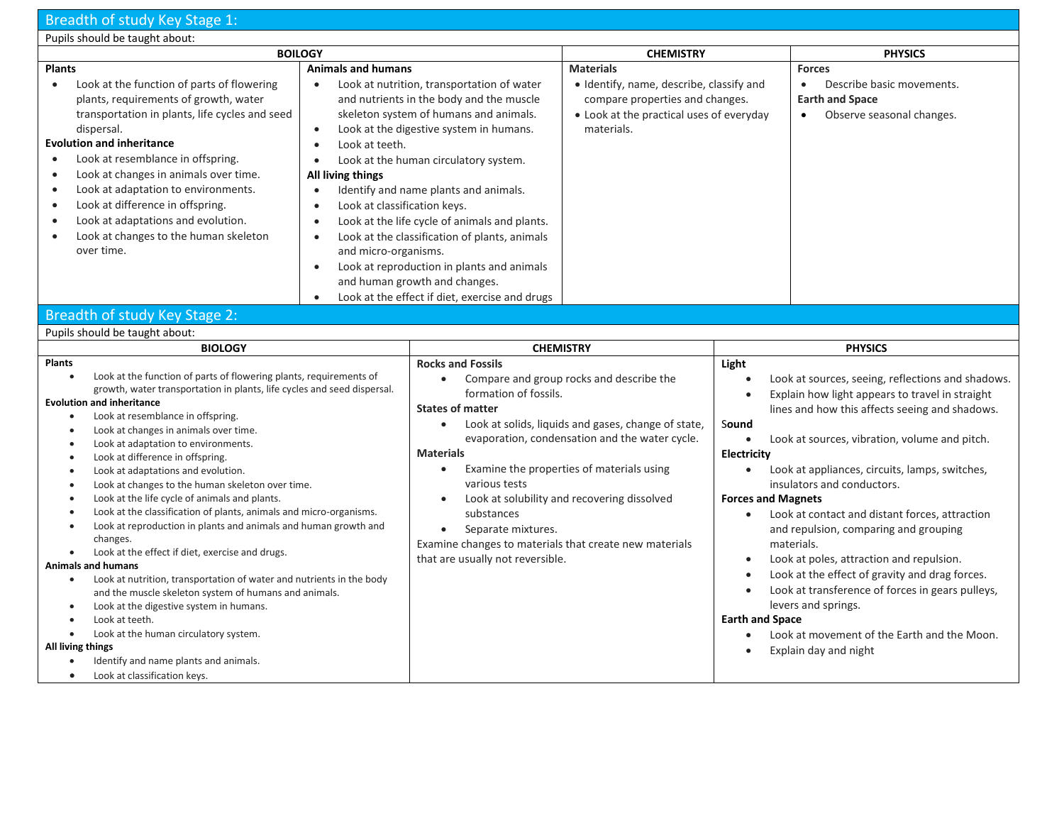## Breadth of study Key Stage 1:

| Pupils should be taught about:                                                                                                                                                                                                                                                                                                                                                                                                                                                                                                                                                                                                                                                                                                                                                                                                                                                                                                                                                                                                                                                                                 |                           |                                                                                                                                                                                                                                                                                                                                                                                                                                                                                                  |                                                                                                                                                                                                                                               |                                                                                                                                              |                                                                                                                                                                                                                                                                                                                                                                                                                                                                                                                                                                           |  |  |
|----------------------------------------------------------------------------------------------------------------------------------------------------------------------------------------------------------------------------------------------------------------------------------------------------------------------------------------------------------------------------------------------------------------------------------------------------------------------------------------------------------------------------------------------------------------------------------------------------------------------------------------------------------------------------------------------------------------------------------------------------------------------------------------------------------------------------------------------------------------------------------------------------------------------------------------------------------------------------------------------------------------------------------------------------------------------------------------------------------------|---------------------------|--------------------------------------------------------------------------------------------------------------------------------------------------------------------------------------------------------------------------------------------------------------------------------------------------------------------------------------------------------------------------------------------------------------------------------------------------------------------------------------------------|-----------------------------------------------------------------------------------------------------------------------------------------------------------------------------------------------------------------------------------------------|----------------------------------------------------------------------------------------------------------------------------------------------|---------------------------------------------------------------------------------------------------------------------------------------------------------------------------------------------------------------------------------------------------------------------------------------------------------------------------------------------------------------------------------------------------------------------------------------------------------------------------------------------------------------------------------------------------------------------------|--|--|
| <b>BOILOGY</b>                                                                                                                                                                                                                                                                                                                                                                                                                                                                                                                                                                                                                                                                                                                                                                                                                                                                                                                                                                                                                                                                                                 |                           |                                                                                                                                                                                                                                                                                                                                                                                                                                                                                                  | <b>CHEMISTRY</b>                                                                                                                                                                                                                              |                                                                                                                                              | <b>PHYSICS</b>                                                                                                                                                                                                                                                                                                                                                                                                                                                                                                                                                            |  |  |
| <b>Plants</b>                                                                                                                                                                                                                                                                                                                                                                                                                                                                                                                                                                                                                                                                                                                                                                                                                                                                                                                                                                                                                                                                                                  | <b>Animals and humans</b> | <b>Materials</b>                                                                                                                                                                                                                                                                                                                                                                                                                                                                                 |                                                                                                                                                                                                                                               | <b>Forces</b>                                                                                                                                |                                                                                                                                                                                                                                                                                                                                                                                                                                                                                                                                                                           |  |  |
| Look at the function of parts of flowering<br>$\bullet$<br>$\bullet$<br>plants, requirements of growth, water<br>transportation in plants, life cycles and seed<br>dispersal.<br>$\bullet$<br><b>Evolution and inheritance</b><br>Look at teeth.<br>$\bullet$<br>Look at resemblance in offspring.<br>$\bullet$<br>Look at changes in animals over time.<br>All living things<br>$\bullet$<br>Look at adaptation to environments.<br>$\bullet$<br>$\bullet$<br>Look at difference in offspring.<br>Look at classification keys.<br>$\bullet$<br>$\bullet$<br>Look at adaptations and evolution.<br>$\bullet$<br>$\bullet$<br>Look at changes to the human skeleton<br>$\bullet$<br>$\bullet$<br>over time.<br>and micro-organisms.<br>$\bullet$<br>$\bullet$                                                                                                                                                                                                                                                                                                                                                   |                           | Look at nutrition, transportation of water<br>and nutrients in the body and the muscle<br>skeleton system of humans and animals.<br>Look at the digestive system in humans.<br>Look at the human circulatory system.<br>Identify and name plants and animals.<br>Look at the life cycle of animals and plants.<br>Look at the classification of plants, animals<br>Look at reproduction in plants and animals<br>and human growth and changes.<br>Look at the effect if diet, exercise and drugs | · Identify, name, describe, classify and<br>compare properties and changes.<br>• Look at the practical uses of everyday<br>materials.                                                                                                         |                                                                                                                                              | Describe basic movements.<br>$\bullet$<br><b>Earth and Space</b><br>Observe seasonal changes.<br>$\bullet$                                                                                                                                                                                                                                                                                                                                                                                                                                                                |  |  |
| Breadth of study Key Stage 2:                                                                                                                                                                                                                                                                                                                                                                                                                                                                                                                                                                                                                                                                                                                                                                                                                                                                                                                                                                                                                                                                                  |                           |                                                                                                                                                                                                                                                                                                                                                                                                                                                                                                  |                                                                                                                                                                                                                                               |                                                                                                                                              |                                                                                                                                                                                                                                                                                                                                                                                                                                                                                                                                                                           |  |  |
| Pupils should be taught about:                                                                                                                                                                                                                                                                                                                                                                                                                                                                                                                                                                                                                                                                                                                                                                                                                                                                                                                                                                                                                                                                                 |                           |                                                                                                                                                                                                                                                                                                                                                                                                                                                                                                  |                                                                                                                                                                                                                                               |                                                                                                                                              |                                                                                                                                                                                                                                                                                                                                                                                                                                                                                                                                                                           |  |  |
| <b>BIOLOGY</b>                                                                                                                                                                                                                                                                                                                                                                                                                                                                                                                                                                                                                                                                                                                                                                                                                                                                                                                                                                                                                                                                                                 |                           | <b>CHEMISTRY</b>                                                                                                                                                                                                                                                                                                                                                                                                                                                                                 |                                                                                                                                                                                                                                               |                                                                                                                                              | <b>PHYSICS</b>                                                                                                                                                                                                                                                                                                                                                                                                                                                                                                                                                            |  |  |
| <b>Plants</b>                                                                                                                                                                                                                                                                                                                                                                                                                                                                                                                                                                                                                                                                                                                                                                                                                                                                                                                                                                                                                                                                                                  |                           | <b>Rocks and Fossils</b>                                                                                                                                                                                                                                                                                                                                                                                                                                                                         |                                                                                                                                                                                                                                               | Light                                                                                                                                        |                                                                                                                                                                                                                                                                                                                                                                                                                                                                                                                                                                           |  |  |
| Look at the function of parts of flowering plants, requirements of<br>$\bullet$<br>growth, water transportation in plants, life cycles and seed dispersal.<br><b>Evolution and inheritance</b><br>Look at resemblance in offspring.<br>$\bullet$<br>Look at changes in animals over time.<br>$\bullet$<br>Look at adaptation to environments.<br>$\bullet$<br>Look at difference in offspring.<br>$\bullet$<br>Look at adaptations and evolution.<br>$\bullet$<br>Look at changes to the human skeleton over time.<br>$\bullet$<br>Look at the life cycle of animals and plants.<br>$\bullet$<br>Look at the classification of plants, animals and micro-organisms.<br>$\bullet$<br>Look at reproduction in plants and animals and human growth and<br>$\bullet$<br>changes.<br>Look at the effect if diet, exercise and drugs.<br>$\bullet$<br><b>Animals and humans</b><br>Look at nutrition, transportation of water and nutrients in the body<br>$\bullet$<br>and the muscle skeleton system of humans and animals.<br>Look at the digestive system in humans.<br>$\bullet$<br>Look at teeth.<br>$\bullet$ |                           | $\bullet$<br>formation of fossils.<br><b>States of matter</b><br>$\bullet$<br><b>Materials</b><br>$\bullet$<br>various tests<br>substances<br>Separate mixtures.<br>$\bullet$<br>Examine changes to materials that create new materials<br>that are usually not reversible.                                                                                                                                                                                                                      | Compare and group rocks and describe the<br>Look at solids, liquids and gases, change of state,<br>evaporation, condensation and the water cycle.<br>Examine the properties of materials using<br>Look at solubility and recovering dissolved | Sound<br>$\bullet$<br>Electricity<br>$\bullet$<br><b>Forces and Magnets</b><br>$\bullet$<br>$\bullet$<br>$\bullet$<br><b>Earth and Space</b> | Look at sources, seeing, reflections and shadows.<br>Explain how light appears to travel in straight<br>lines and how this affects seeing and shadows.<br>Look at sources, vibration, volume and pitch.<br>Look at appliances, circuits, lamps, switches,<br>insulators and conductors.<br>Look at contact and distant forces, attraction<br>and repulsion, comparing and grouping<br>materials.<br>Look at poles, attraction and repulsion.<br>Look at the effect of gravity and drag forces.<br>Look at transference of forces in gears pulleys,<br>levers and springs. |  |  |
| Look at the human circulatory system.<br>$\bullet$<br>All living things<br>Identify and name plants and animals.<br>$\bullet$<br>Look at classification keys.<br>$\bullet$                                                                                                                                                                                                                                                                                                                                                                                                                                                                                                                                                                                                                                                                                                                                                                                                                                                                                                                                     |                           |                                                                                                                                                                                                                                                                                                                                                                                                                                                                                                  |                                                                                                                                                                                                                                               | $\bullet$                                                                                                                                    | Look at movement of the Earth and the Moon.<br>Explain day and night                                                                                                                                                                                                                                                                                                                                                                                                                                                                                                      |  |  |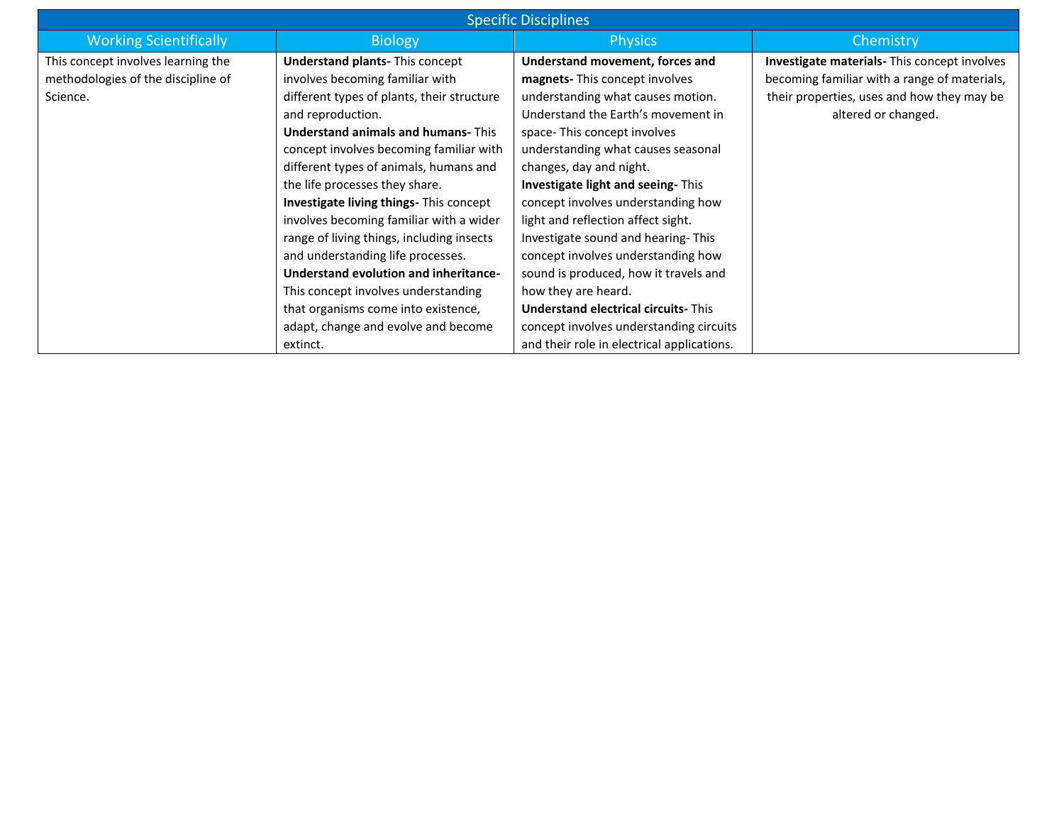| <b>Specific Disciplines</b>        |                                                |                                             |                                                     |  |  |  |
|------------------------------------|------------------------------------------------|---------------------------------------------|-----------------------------------------------------|--|--|--|
| <b>Working Scientifically</b>      | <b>Biology</b>                                 | <b>Physics</b>                              | Chemistry                                           |  |  |  |
| This concept involves learning the | <b>Understand plants- This concept</b>         | Understand movement, forces and             | <b>Investigate materials-</b> This concept involves |  |  |  |
| methodologies of the discipline of | involves becoming familiar with                | magnets-This concept involves               | becoming familiar with a range of materials,        |  |  |  |
| Science.                           | different types of plants, their structure     | understanding what causes motion.           | their properties, uses and how they may be          |  |  |  |
|                                    | and reproduction.                              | Understand the Earth's movement in          | altered or changed.                                 |  |  |  |
|                                    | <b>Understand animals and humans-This</b>      | space-This concept involves                 |                                                     |  |  |  |
|                                    | concept involves becoming familiar with        | understanding what causes seasonal          |                                                     |  |  |  |
|                                    | different types of animals, humans and         | changes, day and night.                     |                                                     |  |  |  |
|                                    | the life processes they share.                 | Investigate light and seeing-This           |                                                     |  |  |  |
|                                    | <b>Investigate living things-</b> This concept | concept involves understanding how          |                                                     |  |  |  |
|                                    | involves becoming familiar with a wider        | light and reflection affect sight.          |                                                     |  |  |  |
|                                    | range of living things, including insects      | Investigate sound and hearing-This          |                                                     |  |  |  |
|                                    | and understanding life processes.              | concept involves understanding how          |                                                     |  |  |  |
|                                    | Understand evolution and inheritance-          | sound is produced, how it travels and       |                                                     |  |  |  |
|                                    | This concept involves understanding            | how they are heard.                         |                                                     |  |  |  |
|                                    | that organisms come into existence,            | <b>Understand electrical circuits-</b> This |                                                     |  |  |  |
|                                    | adapt, change and evolve and become            | concept involves understanding circuits     |                                                     |  |  |  |
|                                    | extinct.                                       | and their role in electrical applications.  |                                                     |  |  |  |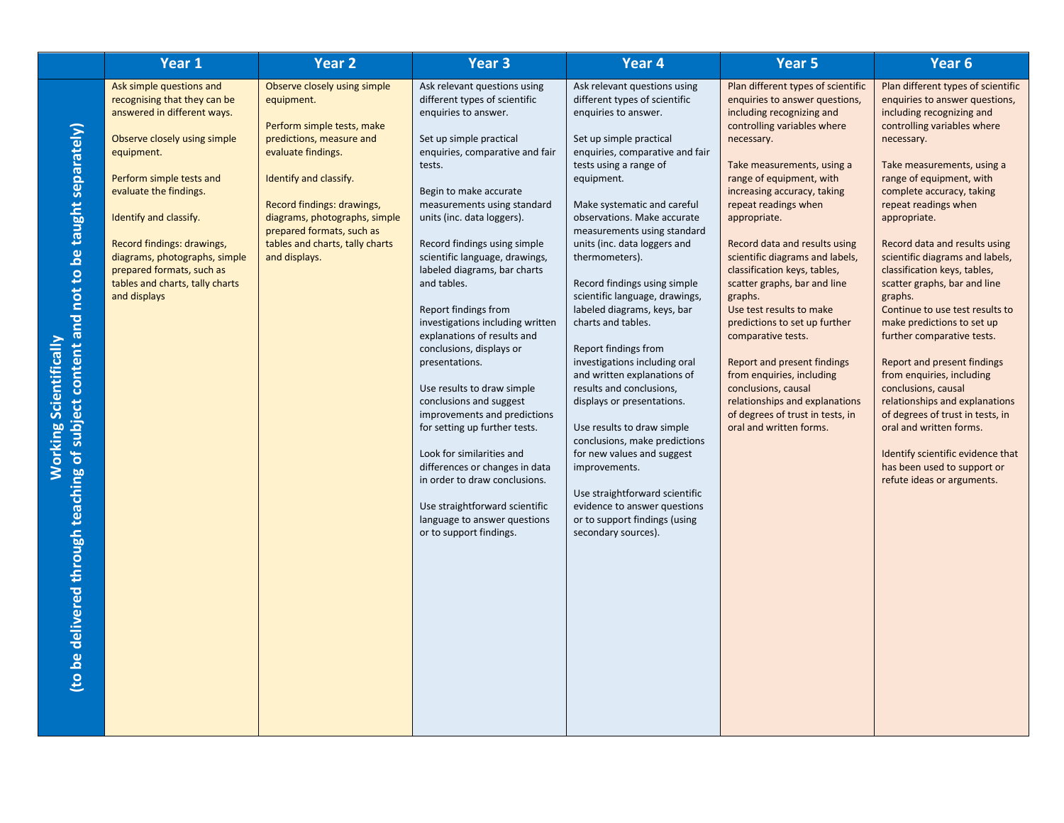| Year 1                                                                                                                                                                                                                                                                                                                                                               | <b>Year 2</b>                                                                                                                                                                                                                                                                                        | Year <sub>3</sub>                                                                                                                                                                                                                                                                                                                                                                                                                                                                                                                                                                                                                                                                                                                                                                                                                     | Year 4                                                                                                                                                                                                                                                                                                                                                                                                                                                                                                                                                                                                                                                                                                                                                                                                                                                      | Year 5                                                                                                                                                                                                                                                                                                                                                                                                                                                                                                                                                                                                                                                                                                       | Year 6                                                                                                                                                                                                                                                                                                                                                                                                                                                                                                                                                                                                                                                                                                                                                                                                            |
|----------------------------------------------------------------------------------------------------------------------------------------------------------------------------------------------------------------------------------------------------------------------------------------------------------------------------------------------------------------------|------------------------------------------------------------------------------------------------------------------------------------------------------------------------------------------------------------------------------------------------------------------------------------------------------|---------------------------------------------------------------------------------------------------------------------------------------------------------------------------------------------------------------------------------------------------------------------------------------------------------------------------------------------------------------------------------------------------------------------------------------------------------------------------------------------------------------------------------------------------------------------------------------------------------------------------------------------------------------------------------------------------------------------------------------------------------------------------------------------------------------------------------------|-------------------------------------------------------------------------------------------------------------------------------------------------------------------------------------------------------------------------------------------------------------------------------------------------------------------------------------------------------------------------------------------------------------------------------------------------------------------------------------------------------------------------------------------------------------------------------------------------------------------------------------------------------------------------------------------------------------------------------------------------------------------------------------------------------------------------------------------------------------|--------------------------------------------------------------------------------------------------------------------------------------------------------------------------------------------------------------------------------------------------------------------------------------------------------------------------------------------------------------------------------------------------------------------------------------------------------------------------------------------------------------------------------------------------------------------------------------------------------------------------------------------------------------------------------------------------------------|-------------------------------------------------------------------------------------------------------------------------------------------------------------------------------------------------------------------------------------------------------------------------------------------------------------------------------------------------------------------------------------------------------------------------------------------------------------------------------------------------------------------------------------------------------------------------------------------------------------------------------------------------------------------------------------------------------------------------------------------------------------------------------------------------------------------|
| Ask simple questions and<br>recognising that they can be<br>answered in different ways.<br>Observe closely using simple<br>equipment.<br>Perform simple tests and<br>evaluate the findings.<br>Identify and classify.<br>Record findings: drawings,<br>diagrams, photographs, simple<br>prepared formats, such as<br>tables and charts, tally charts<br>and displays | Observe closely using simple<br>equipment.<br>Perform simple tests, make<br>predictions, measure and<br>evaluate findings.<br>Identify and classify.<br>Record findings: drawings,<br>diagrams, photographs, simple<br>prepared formats, such as<br>tables and charts, tally charts<br>and displays. | Ask relevant questions using<br>different types of scientific<br>enquiries to answer.<br>Set up simple practical<br>enquiries, comparative and fair<br>tests.<br>Begin to make accurate<br>measurements using standard<br>units (inc. data loggers).<br>Record findings using simple<br>scientific language, drawings,<br>labeled diagrams, bar charts<br>and tables.<br>Report findings from<br>investigations including written<br>explanations of results and<br>conclusions, displays or<br>presentations.<br>Use results to draw simple<br>conclusions and suggest<br>improvements and predictions<br>for setting up further tests.<br>Look for similarities and<br>differences or changes in data<br>in order to draw conclusions.<br>Use straightforward scientific<br>language to answer questions<br>or to support findings. | Ask relevant questions using<br>different types of scientific<br>enquiries to answer.<br>Set up simple practical<br>enquiries, comparative and fair<br>tests using a range of<br>equipment.<br>Make systematic and careful<br>observations. Make accurate<br>measurements using standard<br>units (inc. data loggers and<br>thermometers).<br>Record findings using simple<br>scientific language, drawings,<br>labeled diagrams, keys, bar<br>charts and tables.<br>Report findings from<br>investigations including oral<br>and written explanations of<br>results and conclusions,<br>displays or presentations.<br>Use results to draw simple<br>conclusions, make predictions<br>for new values and suggest<br>improvements.<br>Use straightforward scientific<br>evidence to answer questions<br>or to support findings (using<br>secondary sources). | Plan different types of scientific<br>enquiries to answer questions,<br>including recognizing and<br>controlling variables where<br>necessary.<br>Take measurements, using a<br>range of equipment, with<br>increasing accuracy, taking<br>repeat readings when<br>appropriate.<br>Record data and results using<br>scientific diagrams and labels,<br>classification keys, tables,<br>scatter graphs, bar and line<br>graphs.<br>Use test results to make<br>predictions to set up further<br>comparative tests.<br><b>Report and present findings</b><br>from enquiries, including<br>conclusions, causal<br>relationships and explanations<br>of degrees of trust in tests, in<br>oral and written forms. | Plan different types of scientific<br>enquiries to answer questions,<br>including recognizing and<br>controlling variables where<br>necessary.<br>Take measurements, using a<br>range of equipment, with<br>complete accuracy, taking<br>repeat readings when<br>appropriate.<br>Record data and results using<br>scientific diagrams and labels,<br>classification keys, tables,<br>scatter graphs, bar and line<br>graphs.<br>Continue to use test results to<br>make predictions to set up<br>further comparative tests.<br>Report and present findings<br>from enquiries, including<br>conclusions, causal<br>relationships and explanations<br>of degrees of trust in tests, in<br>oral and written forms.<br>Identify scientific evidence that<br>has been used to support or<br>refute ideas or arguments. |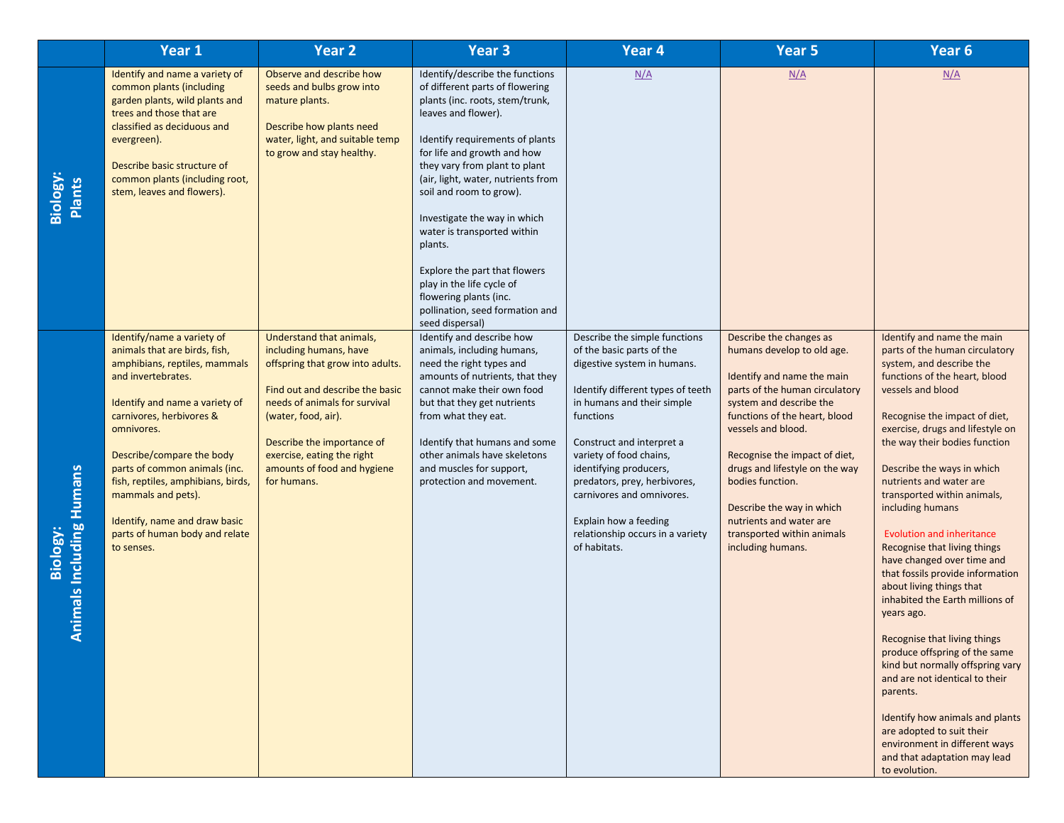|                                         | Year 1                                                                                                                                                                                                                                                                                                                                                                                                    | <b>Year 2</b>                                                                                                                                                                                                                                                                               | Year 3                                                                                                                                                                                                                                                                                                                                                                                                                                                                                                                   | Year 4                                                                                                                                                                                                                                                                                                                                                                                                | Year 5                                                                                                                                                                                                                                                                                                                                                                                                    | Year 6                                                                                                                                                                                                                                                                                                                                                                                                                                                                                                                                                                                                                                                                                                                                                                                                                                                                                   |
|-----------------------------------------|-----------------------------------------------------------------------------------------------------------------------------------------------------------------------------------------------------------------------------------------------------------------------------------------------------------------------------------------------------------------------------------------------------------|---------------------------------------------------------------------------------------------------------------------------------------------------------------------------------------------------------------------------------------------------------------------------------------------|--------------------------------------------------------------------------------------------------------------------------------------------------------------------------------------------------------------------------------------------------------------------------------------------------------------------------------------------------------------------------------------------------------------------------------------------------------------------------------------------------------------------------|-------------------------------------------------------------------------------------------------------------------------------------------------------------------------------------------------------------------------------------------------------------------------------------------------------------------------------------------------------------------------------------------------------|-----------------------------------------------------------------------------------------------------------------------------------------------------------------------------------------------------------------------------------------------------------------------------------------------------------------------------------------------------------------------------------------------------------|------------------------------------------------------------------------------------------------------------------------------------------------------------------------------------------------------------------------------------------------------------------------------------------------------------------------------------------------------------------------------------------------------------------------------------------------------------------------------------------------------------------------------------------------------------------------------------------------------------------------------------------------------------------------------------------------------------------------------------------------------------------------------------------------------------------------------------------------------------------------------------------|
| Biology:<br>Plants                      | Identify and name a variety of<br>common plants (including<br>garden plants, wild plants and<br>trees and those that are<br>classified as deciduous and<br>evergreen).<br>Describe basic structure of<br>common plants (including root,<br>stem, leaves and flowers).                                                                                                                                     | Observe and describe how<br>seeds and bulbs grow into<br>mature plants.<br>Describe how plants need<br>water, light, and suitable temp<br>to grow and stay healthy.                                                                                                                         | Identify/describe the functions<br>of different parts of flowering<br>plants (inc. roots, stem/trunk,<br>leaves and flower).<br>Identify requirements of plants<br>for life and growth and how<br>they vary from plant to plant<br>(air, light, water, nutrients from<br>soil and room to grow).<br>Investigate the way in which<br>water is transported within<br>plants.<br>Explore the part that flowers<br>play in the life cycle of<br>flowering plants (inc.<br>pollination, seed formation and<br>seed dispersal) | N/A                                                                                                                                                                                                                                                                                                                                                                                                   | N/A                                                                                                                                                                                                                                                                                                                                                                                                       | N/A                                                                                                                                                                                                                                                                                                                                                                                                                                                                                                                                                                                                                                                                                                                                                                                                                                                                                      |
| Biology:<br>Including Humans<br>Animals | Identify/name a variety of<br>animals that are birds, fish,<br>amphibians, reptiles, mammals<br>and invertebrates.<br>Identify and name a variety of<br>carnivores, herbivores &<br>omnivores.<br>Describe/compare the body<br>parts of common animals (inc.<br>fish, reptiles, amphibians, birds,<br>mammals and pets).<br>Identify, name and draw basic<br>parts of human body and relate<br>to senses. | Understand that animals,<br>including humans, have<br>offspring that grow into adults.<br>Find out and describe the basic<br>needs of animals for survival<br>(water, food, air).<br>Describe the importance of<br>exercise, eating the right<br>amounts of food and hygiene<br>for humans. | Identify and describe how<br>animals, including humans,<br>need the right types and<br>amounts of nutrients, that they<br>cannot make their own food<br>but that they get nutrients<br>from what they eat.<br>Identify that humans and some<br>other animals have skeletons<br>and muscles for support,<br>protection and movement.                                                                                                                                                                                      | Describe the simple functions<br>of the basic parts of the<br>digestive system in humans.<br>Identify different types of teeth<br>in humans and their simple<br>functions<br>Construct and interpret a<br>variety of food chains,<br>identifying producers,<br>predators, prey, herbivores,<br>carnivores and omnivores.<br>Explain how a feeding<br>relationship occurs in a variety<br>of habitats. | Describe the changes as<br>humans develop to old age.<br>Identify and name the main<br>parts of the human circulatory<br>system and describe the<br>functions of the heart, blood<br>vessels and blood.<br>Recognise the impact of diet,<br>drugs and lifestyle on the way<br>bodies function.<br>Describe the way in which<br>nutrients and water are<br>transported within animals<br>including humans. | Identify and name the main<br>parts of the human circulatory<br>system, and describe the<br>functions of the heart, blood<br>vessels and blood<br>Recognise the impact of diet,<br>exercise, drugs and lifestyle on<br>the way their bodies function<br>Describe the ways in which<br>nutrients and water are<br>transported within animals,<br>including humans<br><b>Evolution and inheritance</b><br>Recognise that living things<br>have changed over time and<br>that fossils provide information<br>about living things that<br>inhabited the Earth millions of<br>years ago.<br>Recognise that living things<br>produce offspring of the same<br>kind but normally offspring vary<br>and are not identical to their<br>parents.<br>Identify how animals and plants<br>are adopted to suit their<br>environment in different ways<br>and that adaptation may lead<br>to evolution. |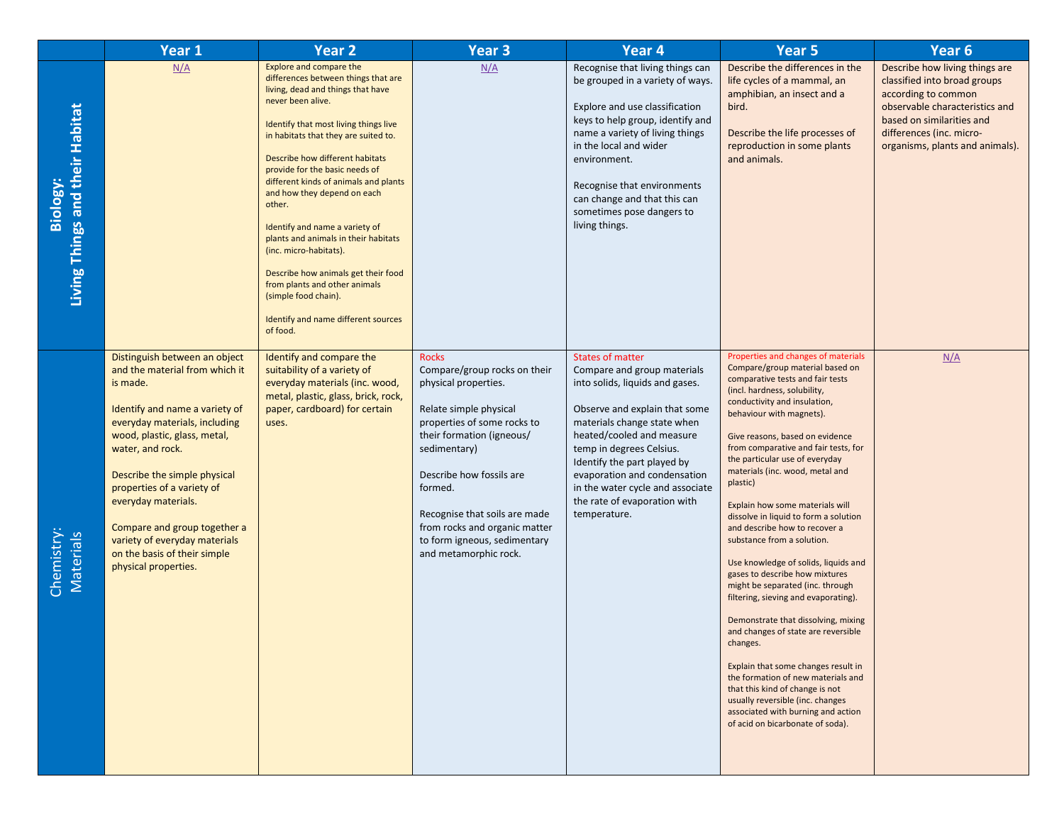|                                             | Year 1                                                                                                                                                                                                                                                                                                                                                                                                           | <b>Year 2</b>                                                                                                                                                                                                                                                                                                                                                                                                                                                                                                                                                                                                           | Year <sub>3</sub>                                                                                                                                                                                                                                                                                                                            | Year 4                                                                                                                                                                                                                                                                                                                                                                | Year 5                                                                                                                                                                                                                                                                                                                                                                                                                                                                                                                                                                                                                                                                                                                                                                                                                                                                                                                                                                                      | Year <sub>6</sub>                                                                                                                                                                                                   |
|---------------------------------------------|------------------------------------------------------------------------------------------------------------------------------------------------------------------------------------------------------------------------------------------------------------------------------------------------------------------------------------------------------------------------------------------------------------------|-------------------------------------------------------------------------------------------------------------------------------------------------------------------------------------------------------------------------------------------------------------------------------------------------------------------------------------------------------------------------------------------------------------------------------------------------------------------------------------------------------------------------------------------------------------------------------------------------------------------------|----------------------------------------------------------------------------------------------------------------------------------------------------------------------------------------------------------------------------------------------------------------------------------------------------------------------------------------------|-----------------------------------------------------------------------------------------------------------------------------------------------------------------------------------------------------------------------------------------------------------------------------------------------------------------------------------------------------------------------|---------------------------------------------------------------------------------------------------------------------------------------------------------------------------------------------------------------------------------------------------------------------------------------------------------------------------------------------------------------------------------------------------------------------------------------------------------------------------------------------------------------------------------------------------------------------------------------------------------------------------------------------------------------------------------------------------------------------------------------------------------------------------------------------------------------------------------------------------------------------------------------------------------------------------------------------------------------------------------------------|---------------------------------------------------------------------------------------------------------------------------------------------------------------------------------------------------------------------|
| Living Things and their Habitat<br>Biology: | N/A                                                                                                                                                                                                                                                                                                                                                                                                              | Explore and compare the<br>differences between things that are<br>living, dead and things that have<br>never been alive.<br>Identify that most living things live<br>in habitats that they are suited to.<br>Describe how different habitats<br>provide for the basic needs of<br>different kinds of animals and plants<br>and how they depend on each<br>other.<br>Identify and name a variety of<br>plants and animals in their habitats<br>(inc. micro-habitats).<br>Describe how animals get their food<br>from plants and other animals<br>(simple food chain).<br>Identify and name different sources<br>of food. | N/A                                                                                                                                                                                                                                                                                                                                          | Recognise that living things can<br>be grouped in a variety of ways.<br>Explore and use classification<br>keys to help group, identify and<br>name a variety of living things<br>in the local and wider<br>environment.<br>Recognise that environments<br>can change and that this can<br>sometimes pose dangers to<br>living things.                                 | Describe the differences in the<br>life cycles of a mammal, an<br>amphibian, an insect and a<br>bird.<br>Describe the life processes of<br>reproduction in some plants<br>and animals.                                                                                                                                                                                                                                                                                                                                                                                                                                                                                                                                                                                                                                                                                                                                                                                                      | Describe how living things are<br>classified into broad groups<br>according to common<br>observable characteristics and<br>based on similarities and<br>differences (inc. micro-<br>organisms, plants and animals). |
| Chemistry:<br>Materials                     | Distinguish between an object<br>and the material from which it<br>is made.<br>Identify and name a variety of<br>everyday materials, including<br>wood, plastic, glass, metal,<br>water, and rock.<br>Describe the simple physical<br>properties of a variety of<br>everyday materials.<br>Compare and group together a<br>variety of everyday materials<br>on the basis of their simple<br>physical properties. | Identify and compare the<br>suitability of a variety of<br>everyday materials (inc. wood,<br>metal, plastic, glass, brick, rock,<br>paper, cardboard) for certain<br>uses.                                                                                                                                                                                                                                                                                                                                                                                                                                              | <b>Rocks</b><br>Compare/group rocks on their<br>physical properties.<br>Relate simple physical<br>properties of some rocks to<br>their formation (igneous/<br>sedimentary)<br>Describe how fossils are<br>formed.<br>Recognise that soils are made<br>from rocks and organic matter<br>to form igneous, sedimentary<br>and metamorphic rock. | <b>States of matter</b><br>Compare and group materials<br>into solids, liquids and gases.<br>Observe and explain that some<br>materials change state when<br>heated/cooled and measure<br>temp in degrees Celsius.<br>Identify the part played by<br>evaporation and condensation<br>in the water cycle and associate<br>the rate of evaporation with<br>temperature. | Properties and changes of materials<br>Compare/group material based on<br>comparative tests and fair tests<br>(incl. hardness, solubility,<br>conductivity and insulation,<br>behaviour with magnets).<br>Give reasons, based on evidence<br>from comparative and fair tests, for<br>the particular use of everyday<br>materials (inc. wood, metal and<br>plastic)<br>Explain how some materials will<br>dissolve in liquid to form a solution<br>and describe how to recover a<br>substance from a solution.<br>Use knowledge of solids, liquids and<br>gases to describe how mixtures<br>might be separated (inc. through<br>filtering, sieving and evaporating).<br>Demonstrate that dissolving, mixing<br>and changes of state are reversible<br>changes.<br>Explain that some changes result in<br>the formation of new materials and<br>that this kind of change is not<br>usually reversible (inc. changes<br>associated with burning and action<br>of acid on bicarbonate of soda). | N/A                                                                                                                                                                                                                 |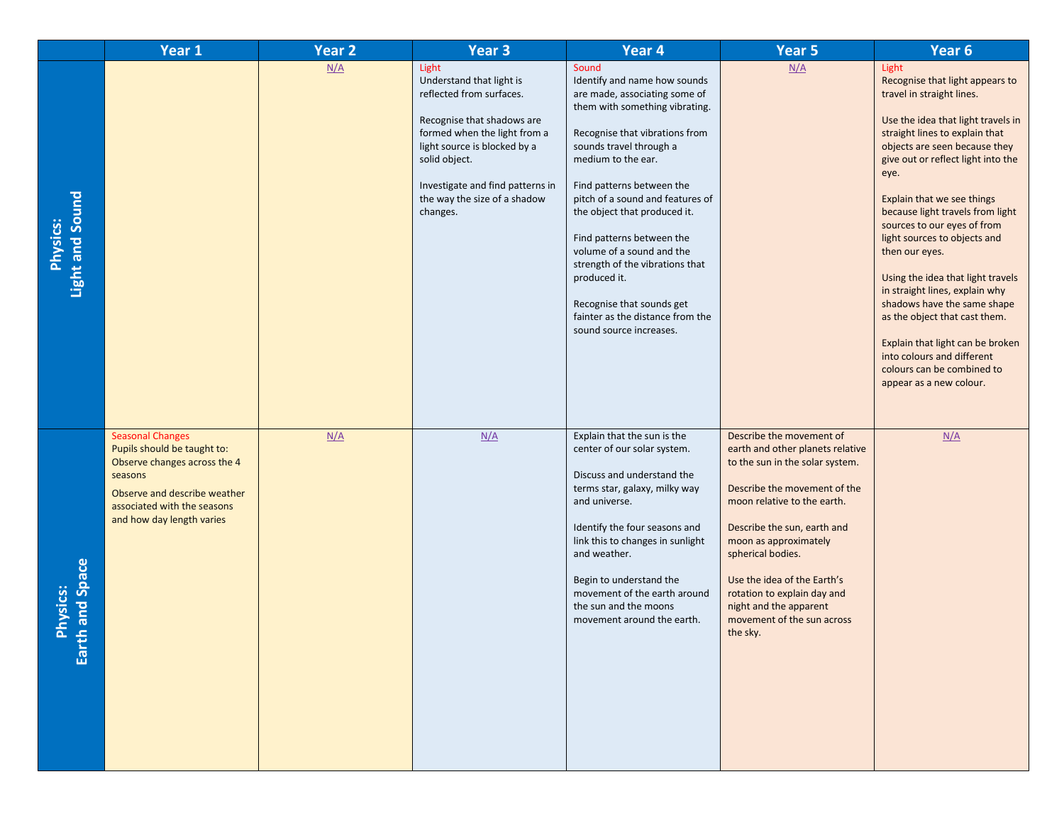|                                     | Year 1                                                                                                                                                                                        | <b>Year 2</b> | Year <sub>3</sub>                                                                                                                                                                                                                                            | Year 4                                                                                                                                                                                                                                                                                                                                                                                                                                                                                                | Year <sub>5</sub>                                                                                                                                                                                                                                                                                                                                                             | Year 6                                                                                                                                                                                                                                                                                                                                                                                                                                                                                                                                                                                                                                            |
|-------------------------------------|-----------------------------------------------------------------------------------------------------------------------------------------------------------------------------------------------|---------------|--------------------------------------------------------------------------------------------------------------------------------------------------------------------------------------------------------------------------------------------------------------|-------------------------------------------------------------------------------------------------------------------------------------------------------------------------------------------------------------------------------------------------------------------------------------------------------------------------------------------------------------------------------------------------------------------------------------------------------------------------------------------------------|-------------------------------------------------------------------------------------------------------------------------------------------------------------------------------------------------------------------------------------------------------------------------------------------------------------------------------------------------------------------------------|---------------------------------------------------------------------------------------------------------------------------------------------------------------------------------------------------------------------------------------------------------------------------------------------------------------------------------------------------------------------------------------------------------------------------------------------------------------------------------------------------------------------------------------------------------------------------------------------------------------------------------------------------|
| Light and Sound<br>Physics:         |                                                                                                                                                                                               | N/A           | Light<br>Understand that light is<br>reflected from surfaces.<br>Recognise that shadows are<br>formed when the light from a<br>light source is blocked by a<br>solid object.<br>Investigate and find patterns in<br>the way the size of a shadow<br>changes. | Sound<br>Identify and name how sounds<br>are made, associating some of<br>them with something vibrating.<br>Recognise that vibrations from<br>sounds travel through a<br>medium to the ear.<br>Find patterns between the<br>pitch of a sound and features of<br>the object that produced it.<br>Find patterns between the<br>volume of a sound and the<br>strength of the vibrations that<br>produced it.<br>Recognise that sounds get<br>fainter as the distance from the<br>sound source increases. | N/A                                                                                                                                                                                                                                                                                                                                                                           | Light<br>Recognise that light appears to<br>travel in straight lines.<br>Use the idea that light travels in<br>straight lines to explain that<br>objects are seen because they<br>give out or reflect light into the<br>eye.<br>Explain that we see things<br>because light travels from light<br>sources to our eyes of from<br>light sources to objects and<br>then our eyes.<br>Using the idea that light travels<br>in straight lines, explain why<br>shadows have the same shape<br>as the object that cast them.<br>Explain that light can be broken<br>into colours and different<br>colours can be combined to<br>appear as a new colour. |
| h and Space<br><b>Physics:</b><br>岛 | <b>Seasonal Changes</b><br>Pupils should be taught to:<br>Observe changes across the 4<br>seasons<br>Observe and describe weather<br>associated with the seasons<br>and how day length varies | N/A           | N/A                                                                                                                                                                                                                                                          | Explain that the sun is the<br>center of our solar system.<br>Discuss and understand the<br>terms star, galaxy, milky way<br>and universe.<br>Identify the four seasons and<br>link this to changes in sunlight<br>and weather.<br>Begin to understand the<br>movement of the earth around<br>the sun and the moons<br>movement around the earth.                                                                                                                                                     | Describe the movement of<br>earth and other planets relative<br>to the sun in the solar system.<br>Describe the movement of the<br>moon relative to the earth.<br>Describe the sun, earth and<br>moon as approximately<br>spherical bodies.<br>Use the idea of the Earth's<br>rotation to explain day and<br>night and the apparent<br>movement of the sun across<br>the sky. | N/A                                                                                                                                                                                                                                                                                                                                                                                                                                                                                                                                                                                                                                               |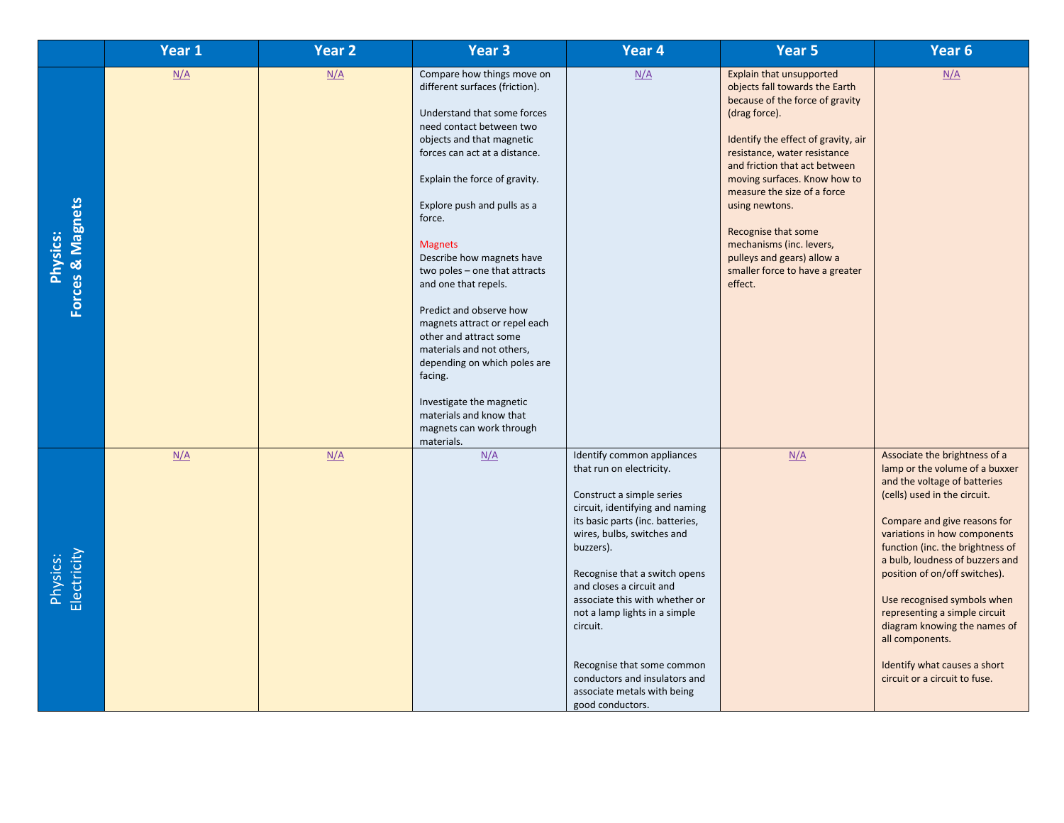|                                     | Year 1 | <b>Year 2</b> | Year <sub>3</sub>                                                                                                                                                                                                                                                                                                                                                                                                                                                                                                                                                                                                                      | Year 4                                                                                                                                                                                                                                                                                                                                                                                                                                                              | Year 5                                                                                                                                                                                                                                                                                                                                                                                                                                 | Year 6                                                                                                                                                                                                                                                                                                                                                                                                                                                                                      |
|-------------------------------------|--------|---------------|----------------------------------------------------------------------------------------------------------------------------------------------------------------------------------------------------------------------------------------------------------------------------------------------------------------------------------------------------------------------------------------------------------------------------------------------------------------------------------------------------------------------------------------------------------------------------------------------------------------------------------------|---------------------------------------------------------------------------------------------------------------------------------------------------------------------------------------------------------------------------------------------------------------------------------------------------------------------------------------------------------------------------------------------------------------------------------------------------------------------|----------------------------------------------------------------------------------------------------------------------------------------------------------------------------------------------------------------------------------------------------------------------------------------------------------------------------------------------------------------------------------------------------------------------------------------|---------------------------------------------------------------------------------------------------------------------------------------------------------------------------------------------------------------------------------------------------------------------------------------------------------------------------------------------------------------------------------------------------------------------------------------------------------------------------------------------|
| Forces & Magnets<br><b>Physics:</b> | N/A    | N/A           | Compare how things move on<br>different surfaces (friction).<br>Understand that some forces<br>need contact between two<br>objects and that magnetic<br>forces can act at a distance.<br>Explain the force of gravity.<br>Explore push and pulls as a<br>force.<br><b>Magnets</b><br>Describe how magnets have<br>two poles - one that attracts<br>and one that repels.<br>Predict and observe how<br>magnets attract or repel each<br>other and attract some<br>materials and not others,<br>depending on which poles are<br>facing.<br>Investigate the magnetic<br>materials and know that<br>magnets can work through<br>materials. | N/A                                                                                                                                                                                                                                                                                                                                                                                                                                                                 | Explain that unsupported<br>objects fall towards the Earth<br>because of the force of gravity<br>(drag force).<br>Identify the effect of gravity, air<br>resistance, water resistance<br>and friction that act between<br>moving surfaces. Know how to<br>measure the size of a force<br>using newtons.<br>Recognise that some<br>mechanisms (inc. levers,<br>pulleys and gears) allow a<br>smaller force to have a greater<br>effect. | N/A                                                                                                                                                                                                                                                                                                                                                                                                                                                                                         |
| Electricity<br>Physics:             | N/A    | N/A           | N/A                                                                                                                                                                                                                                                                                                                                                                                                                                                                                                                                                                                                                                    | Identify common appliances<br>that run on electricity.<br>Construct a simple series<br>circuit, identifying and naming<br>its basic parts (inc. batteries,<br>wires, bulbs, switches and<br>buzzers).<br>Recognise that a switch opens<br>and closes a circuit and<br>associate this with whether or<br>not a lamp lights in a simple<br>circuit.<br>Recognise that some common<br>conductors and insulators and<br>associate metals with being<br>good conductors. | N/A                                                                                                                                                                                                                                                                                                                                                                                                                                    | Associate the brightness of a<br>lamp or the volume of a buxxer<br>and the voltage of batteries<br>(cells) used in the circuit.<br>Compare and give reasons for<br>variations in how components<br>function (inc. the brightness of<br>a bulb, loudness of buzzers and<br>position of on/off switches).<br>Use recognised symbols when<br>representing a simple circuit<br>diagram knowing the names of<br>all components.<br>Identify what causes a short<br>circuit or a circuit to fuse. |